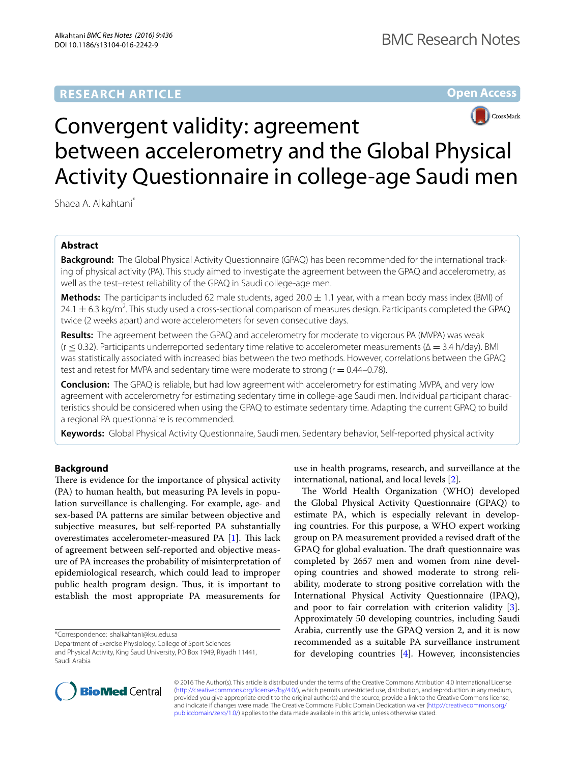# **Open Access**



# Convergent validity: agreement between accelerometry and the Global Physical Activity Questionnaire in college-age Saudi men

Shaea A. Alkahtani\*

# **Abstract**

**Background:** The Global Physical Activity Questionnaire (GPAQ) has been recommended for the international tracking of physical activity (PA). This study aimed to investigate the agreement between the GPAQ and accelerometry, as well as the test–retest reliability of the GPAQ in Saudi college-age men.

**Methods:** The participants included 62 male students, aged  $20.0 \pm 1.1$  year, with a mean body mass index (BMI) of 24.1  $\pm$  6.3 kg/m<sup>2</sup>. This study used a cross-sectional comparison of measures design. Participants completed the GPAQ twice (2 weeks apart) and wore accelerometers for seven consecutive days.

**Results:** The agreement between the GPAQ and accelerometry for moderate to vigorous PA (MVPA) was weak (r ≤ 0.32). Participants underreported sedentary time relative to accelerometer measurements (∆ = 3.4 h/day). BMI was statistically associated with increased bias between the two methods. However, correlations between the GPAQ test and retest for MVPA and sedentary time were moderate to strong ( $r = 0.44 - 0.78$ ).

**Conclusion:** The GPAQ is reliable, but had low agreement with accelerometry for estimating MVPA, and very low agreement with accelerometry for estimating sedentary time in college-age Saudi men. Individual participant characteristics should be considered when using the GPAQ to estimate sedentary time. Adapting the current GPAQ to build a regional PA questionnaire is recommended.

**Keywords:** Global Physical Activity Questionnaire, Saudi men, Sedentary behavior, Self-reported physical activity

# **Background**

There is evidence for the importance of physical activity (PA) to human health, but measuring PA levels in population surveillance is challenging. For example, age- and sex-based PA patterns are similar between objective and subjective measures, but self-reported PA substantially overestimates accelerometer-measured PA [\[1](#page-7-0)]. This lack of agreement between self-reported and objective measure of PA increases the probability of misinterpretation of epidemiological research, which could lead to improper public health program design. Thus, it is important to establish the most appropriate PA measurements for

\*Correspondence: shalkahtani@ksu.edu.sa

Department of Exercise Physiology, College of Sport Sciences and Physical Activity, King Saud University, PO Box 1949, Riyadh 11441, Saudi Arabia

use in health programs, research, and surveillance at the international, national, and local levels [\[2](#page-7-1)].

The World Health Organization (WHO) developed the Global Physical Activity Questionnaire (GPAQ) to estimate PA, which is especially relevant in developing countries. For this purpose, a WHO expert working group on PA measurement provided a revised draft of the GPAQ for global evaluation. The draft questionnaire was completed by 2657 men and women from nine developing countries and showed moderate to strong reliability, moderate to strong positive correlation with the International Physical Activity Questionnaire (IPAQ), and poor to fair correlation with criterion validity  $[3]$  $[3]$ . Approximately 50 developing countries, including Saudi Arabia, currently use the GPAQ version 2, and it is now recommended as a suitable PA surveillance instrument for developing countries  $[4]$  $[4]$ . However, inconsistencies



© 2016 The Author(s). This article is distributed under the terms of the Creative Commons Attribution 4.0 International License [\(http://creativecommons.org/licenses/by/4.0/\)](http://creativecommons.org/licenses/by/4.0/), which permits unrestricted use, distribution, and reproduction in any medium, provided you give appropriate credit to the original author(s) and the source, provide a link to the Creative Commons license, and indicate if changes were made. The Creative Commons Public Domain Dedication waiver ([http://creativecommons.org/](http://creativecommons.org/publicdomain/zero/1.0/) [publicdomain/zero/1.0/](http://creativecommons.org/publicdomain/zero/1.0/)) applies to the data made available in this article, unless otherwise stated.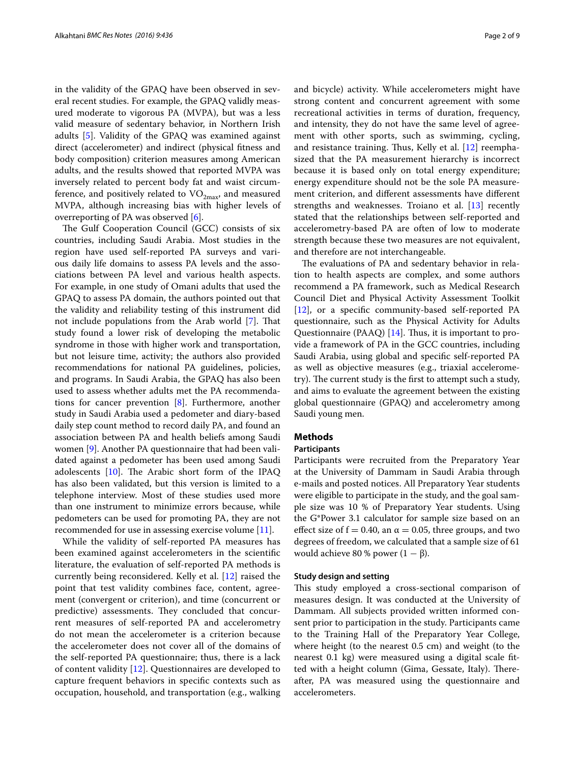in the validity of the GPAQ have been observed in several recent studies. For example, the GPAQ validly measured moderate to vigorous PA (MVPA), but was a less valid measure of sedentary behavior, in Northern Irish adults [[5\]](#page-7-4). Validity of the GPAQ was examined against direct (accelerometer) and indirect (physical fitness and body composition) criterion measures among American adults, and the results showed that reported MVPA was inversely related to percent body fat and waist circumference, and positively related to  $\rm VO_{2max}$ , and measured MVPA, although increasing bias with higher levels of overreporting of PA was observed [[6\]](#page-7-5).

The Gulf Cooperation Council (GCC) consists of six countries, including Saudi Arabia. Most studies in the region have used self-reported PA surveys and various daily life domains to assess PA levels and the associations between PA level and various health aspects. For example, in one study of Omani adults that used the GPAQ to assess PA domain, the authors pointed out that the validity and reliability testing of this instrument did not include populations from the Arab world [[7\]](#page-7-6). That study found a lower risk of developing the metabolic syndrome in those with higher work and transportation, but not leisure time, activity; the authors also provided recommendations for national PA guidelines, policies, and programs. In Saudi Arabia, the GPAQ has also been used to assess whether adults met the PA recommendations for cancer prevention [[8](#page-7-7)]. Furthermore, another study in Saudi Arabia used a pedometer and diary-based daily step count method to record daily PA, and found an association between PA and health beliefs among Saudi women [\[9](#page-7-8)]. Another PA questionnaire that had been validated against a pedometer has been used among Saudi adolescents [\[10\]](#page-7-9). The Arabic short form of the IPAQ has also been validated, but this version is limited to a telephone interview. Most of these studies used more than one instrument to minimize errors because, while pedometers can be used for promoting PA, they are not recommended for use in assessing exercise volume [[11\]](#page-7-10).

While the validity of self-reported PA measures has been examined against accelerometers in the scientific literature, the evaluation of self-reported PA methods is currently being reconsidered. Kelly et al. [\[12](#page-7-11)] raised the point that test validity combines face, content, agreement (convergent or criterion), and time (concurrent or predictive) assessments. They concluded that concurrent measures of self-reported PA and accelerometry do not mean the accelerometer is a criterion because the accelerometer does not cover all of the domains of the self-reported PA questionnaire; thus, there is a lack of content validity [[12\]](#page-7-11). Questionnaires are developed to capture frequent behaviors in specific contexts such as occupation, household, and transportation (e.g., walking and bicycle) activity. While accelerometers might have strong content and concurrent agreement with some recreational activities in terms of duration, frequency, and intensity, they do not have the same level of agreement with other sports, such as swimming, cycling, and resistance training. Thus, Kelly et al. [\[12](#page-7-11)] reemphasized that the PA measurement hierarchy is incorrect because it is based only on total energy expenditure; energy expenditure should not be the sole PA measurement criterion, and different assessments have different strengths and weaknesses. Troiano et al. [[13\]](#page-7-12) recently stated that the relationships between self-reported and accelerometry-based PA are often of low to moderate strength because these two measures are not equivalent, and therefore are not interchangeable.

The evaluations of PA and sedentary behavior in relation to health aspects are complex, and some authors recommend a PA framework, such as Medical Research Council Diet and Physical Activity Assessment Toolkit [[12\]](#page-7-11), or a specific community-based self-reported PA questionnaire, such as the Physical Activity for Adults Questionnaire (PAAQ) [[14\]](#page-7-13). Thus, it is important to provide a framework of PA in the GCC countries, including Saudi Arabia, using global and specific self-reported PA as well as objective measures (e.g., triaxial accelerometry). The current study is the first to attempt such a study, and aims to evaluate the agreement between the existing global questionnaire (GPAQ) and accelerometry among Saudi young men.

## **Methods**

## **Participants**

Participants were recruited from the Preparatory Year at the University of Dammam in Saudi Arabia through e-mails and posted notices. All Preparatory Year students were eligible to participate in the study, and the goal sample size was 10 % of Preparatory Year students. Using the G\*Power 3.1 calculator for sample size based on an effect size of  $f = 0.40$ , an  $\alpha = 0.05$ , three groups, and two degrees of freedom, we calculated that a sample size of 61 would achieve 80 % power  $(1 - \beta)$ .

## **Study design and setting**

This study employed a cross-sectional comparison of measures design. It was conducted at the University of Dammam. All subjects provided written informed consent prior to participation in the study. Participants came to the Training Hall of the Preparatory Year College, where height (to the nearest 0.5 cm) and weight (to the nearest 0.1 kg) were measured using a digital scale fitted with a height column (Gima, Gessate, Italy). Thereafter, PA was measured using the questionnaire and accelerometers.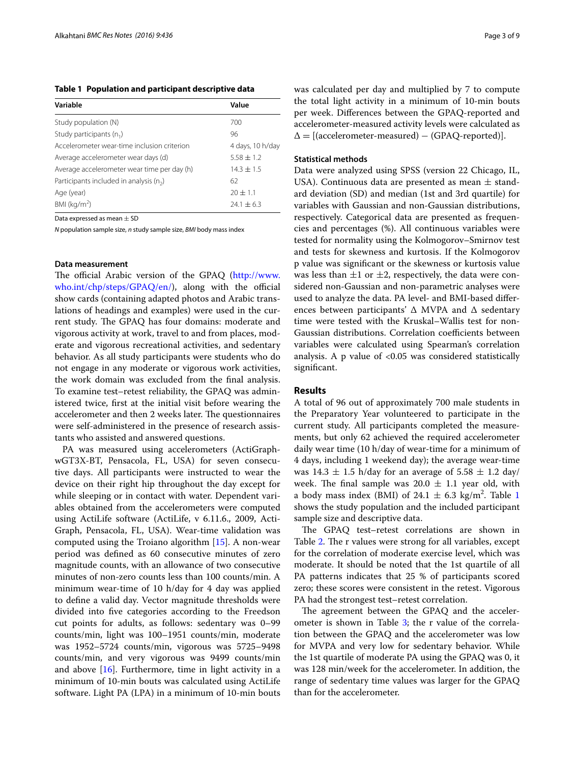<span id="page-2-0"></span>**Table 1 Population and participant descriptive data**

| Variable                                    | Value            |  |
|---------------------------------------------|------------------|--|
| Study population (N)                        | 700              |  |
| Study participants $(n_1)$                  | 96               |  |
| Accelerometer wear-time inclusion criterion | 4 days, 10 h/day |  |
| Average accelerometer wear days (d)         | $5.58 \pm 1.2$   |  |
| Average accelerometer wear time per day (h) | $14.3 \pm 1.5$   |  |
| Participants included in analysis $(n_2)$   | 62               |  |
| Age (year)                                  | $20 + 1.1$       |  |
| $BMl$ (kg/m <sup>2</sup> )                  | $24.1 \pm 6.3$   |  |

Data expressed as mean  $+$  SD

*N* population sample size, *n* study sample size, *BMI* body mass index

#### **Data measurement**

The official Arabic version of the GPAQ [\(http://www.](http://www.who.int/chp/steps/GPAQ/en/) [who.int/chp/steps/GPAQ/en/\)](http://www.who.int/chp/steps/GPAQ/en/), along with the official show cards (containing adapted photos and Arabic translations of headings and examples) were used in the current study. The GPAQ has four domains: moderate and vigorous activity at work, travel to and from places, moderate and vigorous recreational activities, and sedentary behavior. As all study participants were students who do not engage in any moderate or vigorous work activities, the work domain was excluded from the final analysis. To examine test–retest reliability, the GPAQ was administered twice, first at the initial visit before wearing the accelerometer and then 2 weeks later. The questionnaires were self-administered in the presence of research assistants who assisted and answered questions.

PA was measured using accelerometers (ActiGraphwGT3X-BT, Pensacola, FL, USA) for seven consecutive days. All participants were instructed to wear the device on their right hip throughout the day except for while sleeping or in contact with water. Dependent variables obtained from the accelerometers were computed using ActiLife software (ActiLife, v 6.11.6., 2009, Acti-Graph, Pensacola, FL, USA). Wear-time validation was computed using the Troiano algorithm [\[15](#page-7-14)]. A non-wear period was defined as 60 consecutive minutes of zero magnitude counts, with an allowance of two consecutive minutes of non-zero counts less than 100 counts/min. A minimum wear-time of 10 h/day for 4 day was applied to define a valid day. Vector magnitude thresholds were divided into five categories according to the Freedson cut points for adults, as follows: sedentary was 0–99 counts/min, light was 100–1951 counts/min, moderate was 1952–5724 counts/min, vigorous was 5725–9498 counts/min, and very vigorous was 9499 counts/min and above  $[16]$  $[16]$ . Furthermore, time in light activity in a minimum of 10-min bouts was calculated using ActiLife software. Light PA (LPA) in a minimum of 10-min bouts was calculated per day and multiplied by 7 to compute the total light activity in a minimum of 10-min bouts per week. Differences between the GPAQ-reported and accelerometer-measured activity levels were calculated as  $\Delta = [(\text{accelerometer-measured}) - (\text{GPAQ-reported})].$ 

#### **Statistical methods**

Data were analyzed using SPSS (version 22 Chicago, IL, USA). Continuous data are presented as mean  $\pm$  standard deviation (SD) and median (1st and 3rd quartile) for variables with Gaussian and non-Gaussian distributions, respectively. Categorical data are presented as frequencies and percentages (%). All continuous variables were tested for normality using the Kolmogorov–Smirnov test and tests for skewness and kurtosis. If the Kolmogorov p value was significant or the skewness or kurtosis value was less than  $\pm 1$  or  $\pm 2$ , respectively, the data were considered non-Gaussian and non-parametric analyses were used to analyze the data. PA level- and BMI-based differences between participants' ∆ MVPA and ∆ sedentary time were tested with the Kruskal–Wallis test for non-Gaussian distributions. Correlation coefficients between variables were calculated using Spearman's correlation analysis. A p value of  $< 0.05$  was considered statistically significant.

#### **Results**

A total of 96 out of approximately 700 male students in the Preparatory Year volunteered to participate in the current study. All participants completed the measurements, but only 62 achieved the required accelerometer daily wear time (10 h/day of wear-time for a minimum of 4 days, including 1 weekend day); the average wear-time was  $14.3 \pm 1.5$  h/day for an average of  $5.58 \pm 1.2$  day/ week. The final sample was  $20.0 \pm 1.1$  year old, with a body mass index (BMI) of  $24.1 \pm 6.3$  $24.1 \pm 6.3$  $24.1 \pm 6.3$  kg/m<sup>2</sup>. Table 1 shows the study population and the included participant sample size and descriptive data.

The GPAQ test–retest correlations are shown in Table [2.](#page-3-0) The r values were strong for all variables, except for the correlation of moderate exercise level, which was moderate. It should be noted that the 1st quartile of all PA patterns indicates that 25 % of participants scored zero; these scores were consistent in the retest. Vigorous PA had the strongest test–retest correlation.

The agreement between the GPAQ and the accelerometer is shown in Table  $3$ ; the r value of the correlation between the GPAQ and the accelerometer was low for MVPA and very low for sedentary behavior. While the 1st quartile of moderate PA using the GPAQ was 0, it was 128 min/week for the accelerometer. In addition, the range of sedentary time values was larger for the GPAQ than for the accelerometer.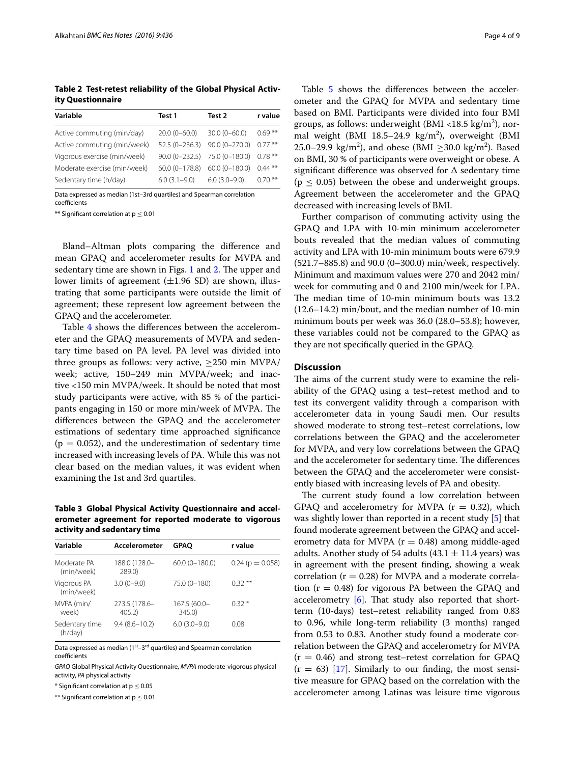<span id="page-3-0"></span>**Table 2 Test-retest reliability of the Global Physical Activity Questionnaire**

| Variable                     | Test 1           | Test 2            | r value   |
|------------------------------|------------------|-------------------|-----------|
| Active commuting (min/day)   | $20.0(0 - 60.0)$ | $30.0(0 - 60.0)$  | $0.69***$ |
| Active commuting (min/week)  | $52.5(0-236.3)$  | $90.0(0 - 270.0)$ | $0.77***$ |
| Vigorous exercise (min/week) | $90.0(0-232.5)$  | 75.0 (0-180.0)    | $0.78***$ |
| Moderate exercise (min/week) | $60.0(0-178.8)$  | $60.0(0-180.0)$   | $0.44***$ |
| Sedentary time (h/day)       | $6.0(3.1-9.0)$   | $6.0(3.0-9.0)$    | $0.70***$ |

Data expressed as median (1st–3rd quartiles) and Spearman correlation coefficients

\*\* Significant correlation at  $p \leq 0.01$ 

Bland–Altman plots comparing the difference and mean GPAQ and accelerometer results for MVPA and sedentary time are shown in Figs. [1](#page-4-0) and [2](#page-4-1). The upper and lower limits of agreement  $(\pm 1.96 \text{ SD})$  are shown, illustrating that some participants were outside the limit of agreement; these represent low agreement between the GPAQ and the accelerometer.

Table [4](#page-5-0) shows the differences between the accelerometer and the GPAQ measurements of MVPA and sedentary time based on PA level. PA level was divided into three groups as follows: very active,  $\geq$ 250 min MVPA/ week; active, 150–249 min MVPA/week; and inactive <150 min MVPA/week. It should be noted that most study participants were active, with 85 % of the participants engaging in 150 or more min/week of MVPA. The differences between the GPAQ and the accelerometer estimations of sedentary time approached significance  $(p = 0.052)$ , and the underestimation of sedentary time increased with increasing levels of PA. While this was not clear based on the median values, it was evident when examining the 1st and 3rd quartiles.

<span id="page-3-1"></span>**Table 3 Global Physical Activity Questionnaire and accelerometer agreement for reported moderate to vigorous activity and sedentary time**

| Variable                  | Accelerometer           | <b>GPAO</b>           | r value           |
|---------------------------|-------------------------|-----------------------|-------------------|
| Moderate PA<br>(min/week) | 188.0 (128.0-<br>289.0) | $60.0(0 - 180.0)$     | $0.24(p = 0.058)$ |
| Vigorous PA<br>(min/week) | $3.0(0-9.0)$            | 75.0 (0-180)          | $0.32***$         |
| MVPA (min/<br>week)       | 273.5 (178.6-<br>405.2) | 167.5 (60.0-<br>345.0 | $0.32*$           |
| Sedentary time<br>(h/day) | $9.4(8.6 - 10.2)$       | $6.0(3.0-9.0)$        | 0.08              |

Data expressed as median (1<sup>st</sup>–3<sup>rd</sup> quartiles) and Spearman correlation coefficients

*GPAQ* Global Physical Activity Questionnaire, *MVPA* moderate-vigorous physical activity, *PA* physical activity

 $*$  Significant correlation at  $p \leq 0.05$ 

\*\* Significant correlation at  $p \leq 0.01$ 

Table [5](#page-5-1) shows the differences between the accelerometer and the GPAQ for MVPA and sedentary time based on BMI. Participants were divided into four BMI groups, as follows: underweight (BMI <18.5 kg/m<sup>2</sup>), normal weight (BMI  $18.5-24.9 \text{ kg/m}^2$ ), overweight (BMI 25.0–29.9 kg/m<sup>2</sup>), and obese (BMI  $\geq$ 30.0 kg/m<sup>2</sup>). Based on BMI, 30 % of participants were overweight or obese. A significant difference was observed for ∆ sedentary time  $(p \leq 0.05)$  between the obese and underweight groups. Agreement between the accelerometer and the GPAQ decreased with increasing levels of BMI.

Further comparison of commuting activity using the GPAQ and LPA with 10-min minimum accelerometer bouts revealed that the median values of commuting activity and LPA with 10-min minimum bouts were 679.9 (521.7–885.8) and 90.0 (0–300.0) min/week, respectively. Minimum and maximum values were 270 and 2042 min/ week for commuting and 0 and 2100 min/week for LPA. The median time of 10-min minimum bouts was 13.2 (12.6–14.2) min/bout, and the median number of 10-min minimum bouts per week was 36.0 (28.0–53.8); however, these variables could not be compared to the GPAQ as they are not specifically queried in the GPAQ.

## **Discussion**

The aims of the current study were to examine the reliability of the GPAQ using a test–retest method and to test its convergent validity through a comparison with accelerometer data in young Saudi men. Our results showed moderate to strong test–retest correlations, low correlations between the GPAQ and the accelerometer for MVPA, and very low correlations between the GPAQ and the accelerometer for sedentary time. The differences between the GPAQ and the accelerometer were consistently biased with increasing levels of PA and obesity.

The current study found a low correlation between GPAQ and accelerometry for MVPA  $(r = 0.32)$ , which was slightly lower than reported in a recent study [[5\]](#page-7-4) that found moderate agreement between the GPAQ and accelerometry data for MVPA  $(r = 0.48)$  among middle-aged adults. Another study of 54 adults (43.1  $\pm$  11.4 years) was in agreement with the present finding, showing a weak correlation ( $r = 0.28$ ) for MVPA and a moderate correlation  $(r = 0.48)$  for vigorous PA between the GPAQ and accelerometry [[6\]](#page-7-5). That study also reported that shortterm (10-days) test–retest reliability ranged from 0.83 to 0.96, while long-term reliability (3 months) ranged from 0.53 to 0.83. Another study found a moderate correlation between the GPAQ and accelerometry for MVPA  $(r = 0.46)$  and strong test–retest correlation for GPAQ  $(r = 63)$  [[17\]](#page-7-16). Similarly to our finding, the most sensitive measure for GPAQ based on the correlation with the accelerometer among Latinas was leisure time vigorous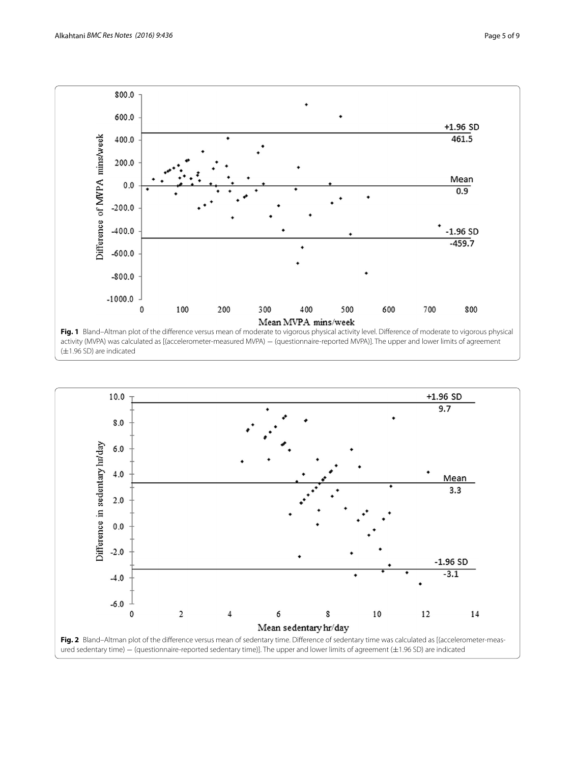

<span id="page-4-0"></span>

<span id="page-4-1"></span>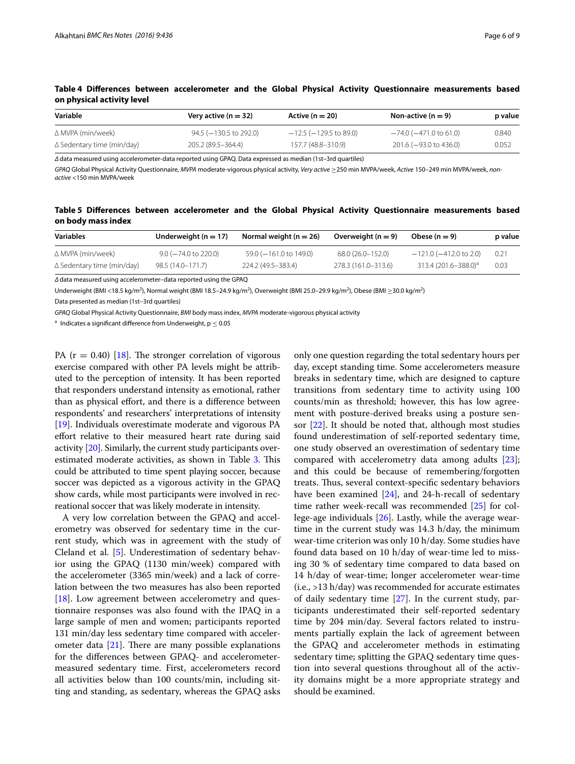| Variable                          | Very active ( $n = 32$ )    | Active ( $n = 20$ )         | Non-active (n $=$ 9)   | p value |
|-----------------------------------|-----------------------------|-----------------------------|------------------------|---------|
| ∆ MVPA (min/week)                 | $94.5$ ( $-130.5$ to 292.0) | $-12.5$ ( $-129.5$ to 89.0) | —74.0 (—471.0 to 61.0) | 0.840   |
| $\Delta$ Sedentary time (min/day) | 205.2 (89.5–364.4)          | 157.7 (48.8-310.9)          | 201.6 (-93.0 to 436.0) | 0.052   |

<span id="page-5-0"></span>**Table 4 Differences between accelerometer and the Global Physical Activity Questionnaire measurements based on physical activity level**

*∆* data measured using accelerometer-data reported using GPAQ. Data expressed as median (1st–3rd quartiles)

*GPAQ* Global Physical Activity Questionnaire, *MVPA* moderate-vigorous physical activity, *Very active* ≥250 min MVPA/week, *Active* 150–249 min MVPA/week, *nonactive* <150 min MVPA/week

<span id="page-5-1"></span>**Table 5 Differences between accelerometer and the Global Physical Activity Questionnaire measurements based on body mass index**

| Variables                  | Underweight ( $n = 17$ )  | Normal weight ( $n = 26$ ) | Overweight ( $n = 9$ ) | Obese $(n = 9)$                  | p value |
|----------------------------|---------------------------|----------------------------|------------------------|----------------------------------|---------|
| ∆ MVPA (min/week)          | $9.0$ ( $-74.0$ to 220.0) | 59.0 (-161.0 to 149.0)     | 68.0 (26.0-152.0)      | $-121.0$ ( $-412.0$ to 2.0)      | 0.21    |
| ∆ Sedentary time (min/day) | 98.5 (14.0-171.7)         | 224.2 (49.5 - 383.4)       | 278.3 (161.0-313.6)    | 313.4 (201.6-388.0) <sup>a</sup> | 0.03    |

*∆* data measured using accelerometer–data reported using the GPAQ

Underweight (BMI <18.5 kg/m<sup>2</sup>), Normal weight (BMI 18.5–24.9 kg/m<sup>2</sup>), Overweight (BMI 25.0–29.9 kg/m<sup>2</sup>), Obese (BMI  $\geq$ 30.0 kg/m<sup>2</sup>)

Data presented as median (1st–3rd quartiles)

*GPAQ* Global Physical Activity Questionnaire, *BMI* body mass index, *MVPA* moderate-vigorous physical activity

<sup>a</sup> Indicates a significant difference from Underweight,  $p < 0.05$ 

PA  $(r = 0.40)$  [[18\]](#page-7-17). The stronger correlation of vigorous exercise compared with other PA levels might be attributed to the perception of intensity. It has been reported that responders understand intensity as emotional, rather than as physical effort, and there is a difference between respondents' and researchers' interpretations of intensity [[19\]](#page-7-18). Individuals overestimate moderate and vigorous PA effort relative to their measured heart rate during said activity [\[20](#page-7-19)]. Similarly, the current study participants overestimated moderate activities, as shown in Table [3](#page-3-1). This could be attributed to time spent playing soccer, because soccer was depicted as a vigorous activity in the GPAQ show cards, while most participants were involved in recreational soccer that was likely moderate in intensity.

A very low correlation between the GPAQ and accelerometry was observed for sedentary time in the current study, which was in agreement with the study of Cleland et al. [[5\]](#page-7-4). Underestimation of sedentary behavior using the GPAQ (1130 min/week) compared with the accelerometer (3365 min/week) and a lack of correlation between the two measures has also been reported [[18\]](#page-7-17). Low agreement between accelerometry and questionnaire responses was also found with the IPAQ in a large sample of men and women; participants reported 131 min/day less sedentary time compared with accelerometer data  $[21]$  $[21]$ . There are many possible explanations for the differences between GPAQ- and accelerometermeasured sedentary time. First, accelerometers record all activities below than 100 counts/min, including sitting and standing, as sedentary, whereas the GPAQ asks

only one question regarding the total sedentary hours per day, except standing time. Some accelerometers measure breaks in sedentary time, which are designed to capture transitions from sedentary time to activity using 100 counts/min as threshold; however, this has low agreement with posture-derived breaks using a posture sensor [\[22](#page-7-21)]. It should be noted that, although most studies found underestimation of self-reported sedentary time, one study observed an overestimation of sedentary time compared with accelerometry data among adults  $[23]$  $[23]$ ; and this could be because of remembering/forgotten treats. Thus, several context-specific sedentary behaviors have been examined [[24\]](#page-7-23), and 24-h-recall of sedentary time rather week-recall was recommended [[25\]](#page-8-0) for college-age individuals [[26](#page-8-1)]. Lastly, while the average weartime in the current study was 14.3 h/day, the minimum wear-time criterion was only 10 h/day. Some studies have found data based on 10 h/day of wear-time led to missing 30 % of sedentary time compared to data based on 14 h/day of wear-time; longer accelerometer wear-time (i.e., >13 h/day) was recommended for accurate estimates of daily sedentary time [\[27\]](#page-8-2). In the current study, participants underestimated their self-reported sedentary time by 204 min/day. Several factors related to instruments partially explain the lack of agreement between the GPAQ and accelerometer methods in estimating sedentary time; splitting the GPAQ sedentary time question into several questions throughout all of the activity domains might be a more appropriate strategy and should be examined.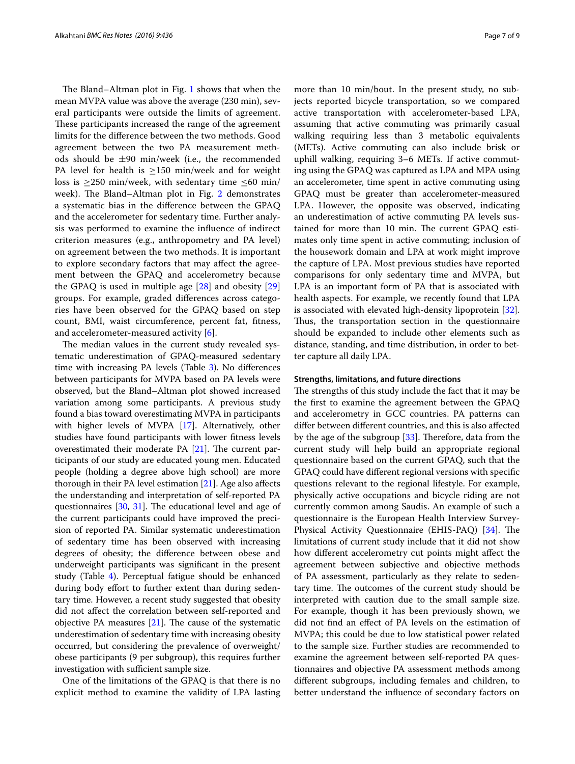The Bland–Altman plot in Fig. [1](#page-4-0) shows that when the mean MVPA value was above the average (230 min), several participants were outside the limits of agreement. These participants increased the range of the agreement limits for the difference between the two methods. Good agreement between the two PA measurement methods should be  $\pm 90$  min/week (i.e., the recommended PA level for health is  $\geq$ 150 min/week and for weight loss is  $\geq$ 250 min/week, with sedentary time  $\leq$ 60 min/ week). The Bland–Altman plot in Fig. [2](#page-4-1) demonstrates a systematic bias in the difference between the GPAQ and the accelerometer for sedentary time. Further analysis was performed to examine the influence of indirect criterion measures (e.g., anthropometry and PA level) on agreement between the two methods. It is important to explore secondary factors that may affect the agreement between the GPAQ and accelerometry because the GPAQ is used in multiple age [\[28](#page-8-3)] and obesity [\[29](#page-8-4)] groups. For example, graded differences across categories have been observed for the GPAQ based on step count, BMI, waist circumference, percent fat, fitness, and accelerometer-measured activity [[6\]](#page-7-5).

The median values in the current study revealed systematic underestimation of GPAQ-measured sedentary time with increasing PA levels (Table [3](#page-3-1)). No differences between participants for MVPA based on PA levels were observed, but the Bland–Altman plot showed increased variation among some participants. A previous study found a bias toward overestimating MVPA in participants with higher levels of MVPA [\[17\]](#page-7-16). Alternatively, other studies have found participants with lower fitness levels overestimated their moderate PA [[21\]](#page-7-20). The current participants of our study are educated young men. Educated people (holding a degree above high school) are more thorough in their PA level estimation [[21\]](#page-7-20). Age also affects the understanding and interpretation of self-reported PA questionnaires [\[30](#page-8-5), [31\]](#page-8-6). The educational level and age of the current participants could have improved the precision of reported PA. Similar systematic underestimation of sedentary time has been observed with increasing degrees of obesity; the difference between obese and underweight participants was significant in the present study (Table [4](#page-5-0)). Perceptual fatigue should be enhanced during body effort to further extent than during sedentary time. However, a recent study suggested that obesity did not affect the correlation between self-reported and objective PA measures [[21\]](#page-7-20). The cause of the systematic underestimation of sedentary time with increasing obesity occurred, but considering the prevalence of overweight/ obese participants (9 per subgroup), this requires further investigation with sufficient sample size.

One of the limitations of the GPAQ is that there is no explicit method to examine the validity of LPA lasting more than 10 min/bout. In the present study, no subjects reported bicycle transportation, so we compared active transportation with accelerometer-based LPA, assuming that active commuting was primarily casual walking requiring less than 3 metabolic equivalents (METs). Active commuting can also include brisk or uphill walking, requiring 3–6 METs. If active commuting using the GPAQ was captured as LPA and MPA using an accelerometer, time spent in active commuting using GPAQ must be greater than accelerometer-measured LPA. However, the opposite was observed, indicating an underestimation of active commuting PA levels sustained for more than 10 min. The current GPAQ estimates only time spent in active commuting; inclusion of the housework domain and LPA at work might improve the capture of LPA. Most previous studies have reported comparisons for only sedentary time and MVPA, but LPA is an important form of PA that is associated with health aspects. For example, we recently found that LPA is associated with elevated high-density lipoprotein [\[32](#page-8-7)]. Thus, the transportation section in the questionnaire should be expanded to include other elements such as distance, standing, and time distribution, in order to better capture all daily LPA.

#### **Strengths, limitations, and future directions**

The strengths of this study include the fact that it may be the first to examine the agreement between the GPAQ and accelerometry in GCC countries. PA patterns can differ between different countries, and this is also affected by the age of the subgroup  $[33]$ . Therefore, data from the current study will help build an appropriate regional questionnaire based on the current GPAQ, such that the GPAQ could have different regional versions with specific questions relevant to the regional lifestyle. For example, physically active occupations and bicycle riding are not currently common among Saudis. An example of such a questionnaire is the European Health Interview Survey-Physical Activity Questionnaire (EHIS-PAQ) [\[34\]](#page-8-9). The limitations of current study include that it did not show how different accelerometry cut points might affect the agreement between subjective and objective methods of PA assessment, particularly as they relate to sedentary time. The outcomes of the current study should be interpreted with caution due to the small sample size. For example, though it has been previously shown, we did not find an effect of PA levels on the estimation of MVPA; this could be due to low statistical power related to the sample size. Further studies are recommended to examine the agreement between self-reported PA questionnaires and objective PA assessment methods among different subgroups, including females and children, to better understand the influence of secondary factors on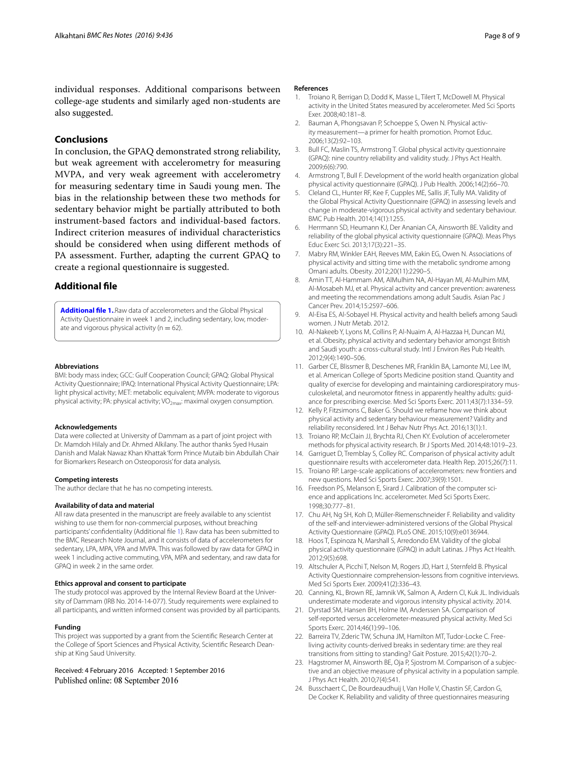individual responses. Additional comparisons between college-age students and similarly aged non-students are also suggested.

## **Conclusions**

In conclusion, the GPAQ demonstrated strong reliability, but weak agreement with accelerometry for measuring MVPA, and very weak agreement with accelerometry for measuring sedentary time in Saudi young men. The bias in the relationship between these two methods for sedentary behavior might be partially attributed to both instrument-based factors and individual-based factors. Indirect criterion measures of individual characteristics should be considered when using different methods of PA assessment. Further, adapting the current GPAQ to create a regional questionnaire is suggested.

## **Additional file**

<span id="page-7-24"></span>**[Additional file 1.](http://dx.doi.org/10.1186/s13104-016-2242-9)**.Raw data of accelerometers and the Global Physical Activity Questionnaire in week 1 and 2, including sedentary, low, moderate and vigorous physical activity ( $n = 62$ ).

#### **Abbreviations**

BMI: body mass index; GCC: Gulf Cooperation Council; GPAQ: Global Physical Activity Questionnaire; IPAQ: International Physical Activity Questionnaire; LPA: light physical activity; MET: metabolic equivalent; MVPA: moderate to vigorous physical activity; PA: physical activity; VO<sub>2max</sub>: maximal oxygen consumption.

#### **Acknowledgements**

Data were collected at University of Dammam as a part of joint project with Dr. Mamdoh Hilaly and Dr. Ahmed Alkilany. The author thanks Syed Husain Danish and Malak Nawaz Khan Khattak 'form Prince Mutaib bin Abdullah Chair for Biomarkers Research on Osteoporosis' for data analysis.

#### **Competing interests**

The author declare that he has no competing interests.

#### **Availability of data and material**

All raw data presented in the manuscript are freely available to any scientist wishing to use them for non-commercial purposes, without breaching participants' confidentiality (Additional file [1](#page-7-24)). Raw data has been submitted to the BMC Research Note Journal, and it consists of data of accelerometers for sedentary, LPA, MPA, VPA and MVPA. This was followed by raw data for GPAQ in week 1 including active commuting, VPA, MPA and sedentary, and raw data for GPAQ in week 2 in the same order.

#### **Ethics approval and consent to participate**

The study protocol was approved by the Internal Review Board at the University of Dammam (IRB No. 2014-14-077). Study requirements were explained to all participants, and written informed consent was provided by all participants.

#### **Funding**

This project was supported by a grant from the Scientific Research Center at the College of Sport Sciences and Physical Activity, Scientific Research Deanship at King Saud University.

Received: 4 February 2016 Accepted: 1 September 2016 Published online: 08 September 2016

#### **References**

- <span id="page-7-0"></span>1. Troiano R, Berrigan D, Dodd K, Masse L, Tilert T, McDowell M. Physical activity in the United States measured by accelerometer. Med Sci Sports Exer. 2008;40:181–8.
- <span id="page-7-1"></span>2. Bauman A, Phongsavan P, Schoeppe S, Owen N. Physical activity measurement—a primer for health promotion. Promot Educ. 2006;13(2):92–103.
- <span id="page-7-2"></span>3. Bull FC, Maslin TS, Armstrong T. Global physical activity questionnaire (GPAQ): nine country reliability and validity study. J Phys Act Health. 2009;6(6):790.
- <span id="page-7-3"></span>Armstrong T, Bull F. Development of the world health organization global physical activity questionnaire (GPAQ). J Pub Health. 2006;14(2):66–70.
- <span id="page-7-4"></span>5. Cleland CL, Hunter RF, Kee F, Cupples ME, Sallis JF, Tully MA. Validity of the Global Physical Activity Questionnaire (GPAQ) in assessing levels and change in moderate-vigorous physical activity and sedentary behaviour. BMC Pub Health. 2014;14(1):1255.
- <span id="page-7-5"></span>6. Herrmann SD, Heumann KJ, Der Ananian CA, Ainsworth BE. Validity and reliability of the global physical activity questionnaire (GPAQ). Meas Phys Educ Exerc Sci. 2013;17(3):221–35.
- <span id="page-7-6"></span>7. Mabry RM, Winkler EAH, Reeves MM, Eakin EG, Owen N. Associations of physical activity and sitting time with the metabolic syndrome among Omani adults. Obesity. 2012;20(11):2290–5.
- <span id="page-7-7"></span>8. Amin TT, Al-Hammam AM, AlMulhim NA, Al-Hayan MI, Al-Mulhim MM, Al-Mosabeh MJ, et al. Physical activity and cancer prevention: awareness and meeting the recommendations among adult Saudis. Asian Pac J Cancer Prev. 2014;15:2597–606.
- <span id="page-7-8"></span>9. Al-Eisa ES, Al-Sobayel HI. Physical activity and health beliefs among Saudi women. J Nutr Metab. 2012.
- <span id="page-7-9"></span>10. Al-Nakeeb Y, Lyons M, Collins P, Al-Nuaim A, Al-Hazzaa H, Duncan MJ, et al. Obesity, physical activity and sedentary behavior amongst British and Saudi youth: a cross-cultural study. Intl J Environ Res Pub Health. 2012;9(4):1490–506.
- <span id="page-7-10"></span>11. Garber CE, Blissmer B, Deschenes MR, Franklin BA, Lamonte MJ, Lee IM, et al. American College of Sports Medicine position stand. Quantity and quality of exercise for developing and maintaining cardiorespiratory musculoskeletal, and neuromotor fitness in apparently healthy adults: guidance for prescribing exercise. Med Sci Sports Exerc. 2011;43(7):1334–59.
- <span id="page-7-11"></span>12. Kelly P, Fitzsimons C, Baker G. Should we reframe how we think about physical activity and sedentary behaviour measurement? Validity and reliability reconsidered. Int J Behav Nutr Phys Act. 2016;13(1):1.
- <span id="page-7-12"></span>13. Troiano RP, McClain JJ, Brychta RJ, Chen KY. Evolution of accelerometer methods for physical activity research. Br J Sports Med. 2014;48:1019–23.
- <span id="page-7-13"></span>14. Garriguet D, Tremblay S, Colley RC. Comparison of physical activity adult questionnaire results with accelerometer data. Health Rep. 2015;26(7):11.
- <span id="page-7-14"></span>15. Troiano RP. Large-scale applications of accelerometers: new frontiers and new questions. Med Sci Sports Exerc. 2007;39(9):1501.
- <span id="page-7-15"></span>16. Freedson PS, Melanson E, Sirard J. Calibration of the computer science and applications Inc. accelerometer. Med Sci Sports Exerc. 1998;30:777–81.
- <span id="page-7-16"></span>17. Chu AH, Ng SH, Koh D, Müller-Riemenschneider F. Reliability and validity of the self-and interviewer-administered versions of the Global Physical Activity Questionnaire (GPAQ). PLoS ONE. 2015;10(9):e0136944.
- <span id="page-7-17"></span>18. Hoos T, Espinoza N, Marshall S, Arredondo EM. Validity of the global physical activity questionnaire (GPAQ) in adult Latinas. J Phys Act Health. 2012;9(5):698.
- <span id="page-7-18"></span>19. Altschuler A, Picchi T, Nelson M, Rogers JD, Hart J, Sternfeld B. Physical Activity Questionnaire comprehension-lessons from cognitive interviews. Med Sci Sports Exer. 2009;41(2):336–43.
- <span id="page-7-19"></span>20. Canning, KL, Brown RE, Jamnik VK, Salmon A, Ardern CI, Kuk JL. Individuals underestimate moderate and vigorous intensity physical activity. 2014.
- <span id="page-7-20"></span>21. Dyrstad SM, Hansen BH, Holme IM, Anderssen SA. Comparison of self-reported versus accelerometer-measured physical activity. Med Sci Sports Exerc. 2014;46(1):99–106.
- <span id="page-7-21"></span>22. Barreira TV, Zderic TW, Schuna JM, Hamilton MT, Tudor-Locke C. Freeliving activity counts-derived breaks in sedentary time: are they real transitions from sitting to standing? Gait Posture. 2015;42(1):70–2.
- <span id="page-7-22"></span>23. Hagstromer M, Ainsworth BE, Oja P, Sjostrom M. Comparison of a subjective and an objective measure of physical activity in a population sample. J Phys Act Health. 2010;7(4):541.
- <span id="page-7-23"></span>24. Busschaert C, De Bourdeaudhuij I, Van Holle V, Chastin SF, Cardon G, De Cocker K. Reliability and validity of three questionnaires measuring